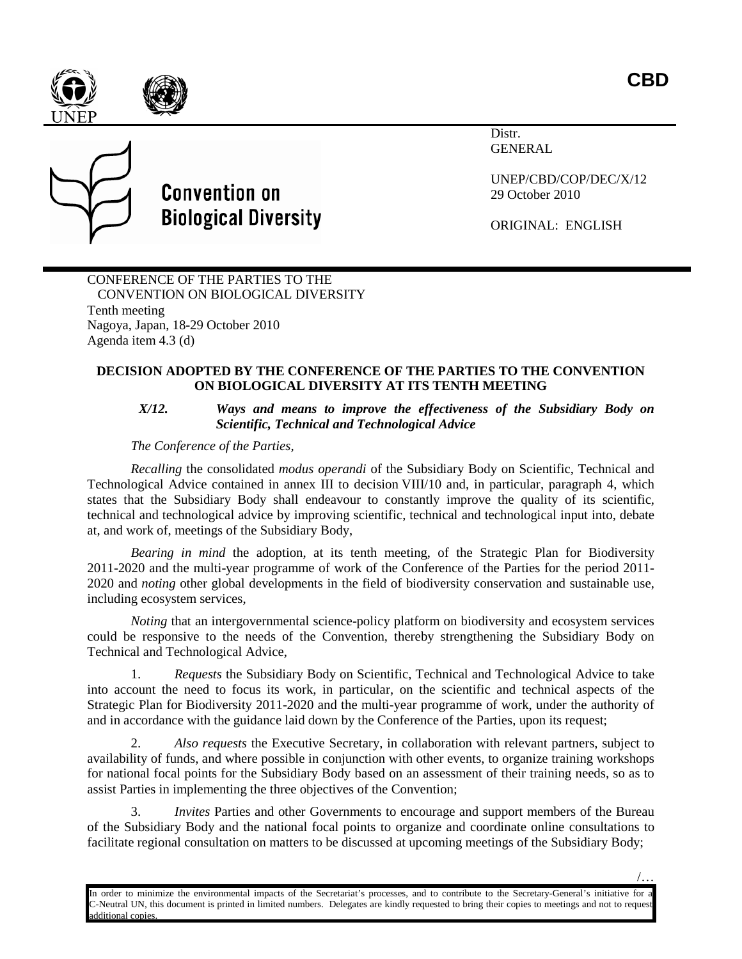



## **Convention on Biological Diversity**

Distr. GENERAL

UNEP/CBD/COP/DEC/X/12 29 October 2010

ORIGINAL: ENGLISH

CONFERENCE OF THE PARTIES TO THE CONVENTION ON BIOLOGICAL DIVERSITY Tenth meeting Nagoya, Japan, 18-29 October 2010 Agenda item 4.3 (d)

## **DECISION ADOPTED BY THE CONFERENCE OF THE PARTIES TO THE CONVENTION ON BIOLOGICAL DIVERSITY AT ITS TENTH MEETING**

## *X/12. Ways and means to improve the effectiveness of the Subsidiary Body on Scientific, Technical and Technological Advice*

## *The Conference of the Parties,*

*Recalling* the consolidated *modus operandi* of the Subsidiary Body on Scientific, Technical and Technological Advice contained in annex III to decision VIII/10 and, in particular, paragraph 4, which states that the Subsidiary Body shall endeavour to constantly improve the quality of its scientific, technical and technological advice by improving scientific, technical and technological input into, debate at, and work of, meetings of the Subsidiary Body,

*Bearing in mind* the adoption, at its tenth meeting, of the Strategic Plan for Biodiversity 2011-2020 and the multi-year programme of work of the Conference of the Parties for the period 2011- 2020 and *noting* other global developments in the field of biodiversity conservation and sustainable use, including ecosystem services,

*Noting* that an intergovernmental science-policy platform on biodiversity and ecosystem services could be responsive to the needs of the Convention, thereby strengthening the Subsidiary Body on Technical and Technological Advice,

1. *Requests* the Subsidiary Body on Scientific, Technical and Technological Advice to take into account the need to focus its work, in particular, on the scientific and technical aspects of the Strategic Plan for Biodiversity 2011-2020 and the multi-year programme of work, under the authority of and in accordance with the guidance laid down by the Conference of the Parties, upon its request;

2. *Also requests* the Executive Secretary, in collaboration with relevant partners, subject to availability of funds, and where possible in conjunction with other events, to organize training workshops for national focal points for the Subsidiary Body based on an assessment of their training needs, so as to assist Parties in implementing the three objectives of the Convention;

3. *Invites* Parties and other Governments to encourage and support members of the Bureau of the Subsidiary Body and the national focal points to organize and coordinate online consultations to facilitate regional consultation on matters to be discussed at upcoming meetings of the Subsidiary Body;

In order to minimize the environmental impacts of the Secretariat's processes, and to contribute to the Secretary-General's initiative for a C-Neutral UN, this document is printed in limited numbers. Delegates are kindly requested to bring their copies to meetings and not to request additional copies.

/…